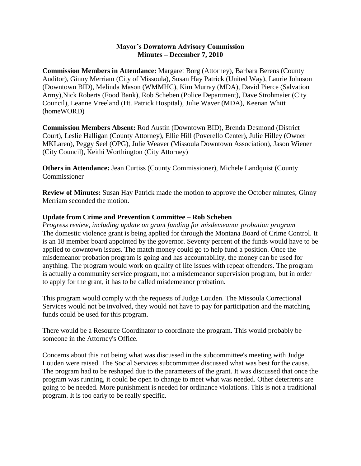## **Mayor's Downtown Advisory Commission Minutes – December 7, 2010**

**Commission Members in Attendance:** Margaret Borg (Attorney), Barbara Berens (County Auditor), Ginny Merriam (City of Missoula), Susan Hay Patrick (United Way), Laurie Johnson (Downtown BID), Melinda Mason (WMMHC), Kim Murray (MDA), David Pierce (Salvation Army),Nick Roberts (Food Bank), Rob Scheben (Police Department), Dave Strohmaier (City Council), Leanne Vreeland (Ht. Patrick Hospital), Julie Waver (MDA), Keenan Whitt (homeWORD)

**Commission Members Absent:** Rod Austin (Downtown BID), Brenda Desmond (District Court), Leslie Halligan (County Attorney), Ellie Hill (Poverello Center), Julie Hilley (Owner MKLaren), Peggy Seel (OPG), Julie Weaver (Missoula Downtown Association), Jason Wiener (City Council), Keithi Worthington (City Attorney)

**Others in Attendance:** Jean Curtiss (County Commissioner), Michele Landquist (County Commissioner

**Review of Minutes:** Susan Hay Patrick made the motion to approve the October minutes; Ginny Merriam seconded the motion.

## **Update from Crime and Prevention Committee – Rob Scheben**

*Progress review, including update on grant funding for misdemeanor probation program* The domestic violence grant is being applied for through the Montana Board of Crime Control. It is an 18 member board appointed by the governor. Seventy percent of the funds would have to be applied to downtown issues. The match money could go to help fund a position. Once the misdemeanor probation program is going and has accountability, the money can be used for anything. The program would work on quality of life issues with repeat offenders. The program is actually a community service program, not a misdemeanor supervision program, but in order to apply for the grant, it has to be called misdemeanor probation.

This program would comply with the requests of Judge Louden. The Missoula Correctional Services would not be involved, they would not have to pay for participation and the matching funds could be used for this program.

There would be a Resource Coordinator to coordinate the program. This would probably be someone in the Attorney's Office.

Concerns about this not being what was discussed in the subcommittee's meeting with Judge Louden were raised. The Social Services subcommittee discussed what was best for the cause. The program had to be reshaped due to the parameters of the grant. It was discussed that once the program was running, it could be open to change to meet what was needed. Other deterrents are going to be needed. More punishment is needed for ordinance violations. This is not a traditional program. It is too early to be really specific.